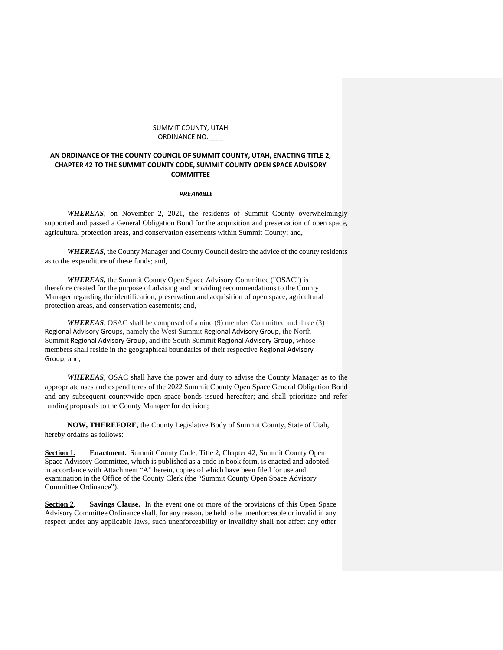#### SUMMIT COUNTY, UTAH ORDINANCE NO.\_\_\_\_

## **AN ORDINANCE OF THE COUNTY COUNCIL OF SUMMIT COUNTY, UTAH, ENACTING TITLE 2, CHAPTER 42 TO THE SUMMIT COUNTY CODE, SUMMIT COUNTY OPEN SPACE ADVISORY COMMITTEE**

## *PREAMBLE*

*WHEREAS*, on November 2, 2021, the residents of Summit County overwhelmingly supported and passed a General Obligation Bond for the acquisition and preservation of open space, agricultural protection areas, and conservation easements within Summit County; and,

*WHEREAS,* the County Manager and County Council desire the advice of the county residents as to the expenditure of these funds; and,

*WHEREAS,* the Summit County Open Space Advisory Committee ("OSAC") is therefore created for the purpose of advising and providing recommendations to the County Manager regarding the identification, preservation and acquisition of open space, agricultural protection areas, and conservation easements; and,

*WHEREAS*, OSAC shall be composed of a nine (9) member Committee and three (3) Regional Advisory Groups, namely the West Summit Regional Advisory Group, the North Summit Regional Advisory Group, and the South Summit Regional Advisory Group, whose members shall reside in the geographical boundaries of their respective Regional Advisory Group; and,

*WHEREAS*, OSAC shall have the power and duty to advise the County Manager as to the appropriate uses and expenditures of the 2022 Summit County Open Space General Obligation Bond and any subsequent countywide open space bonds issued hereafter; and shall prioritize and refer funding proposals to the County Manager for decision;

**NOW, THEREFORE**, the County Legislative Body of Summit County, State of Utah, hereby ordains as follows:

**Section 1. Enactment.** Summit County Code, Title 2, Chapter 42, Summit County Open Space Advisory Committee, which is published as a code in book form, is enacted and adopted in accordance with Attachment "A" herein, copies of which have been filed for use and examination in the Office of the County Clerk (the "Summit County Open Space Advisory Committee Ordinance").

**Section 2**. **Savings Clause.** In the event one or more of the provisions of this Open Space Advisory Committee Ordinance shall, for any reason, be held to be unenforceable or invalid in any respect under any applicable laws, such unenforceability or invalidity shall not affect any other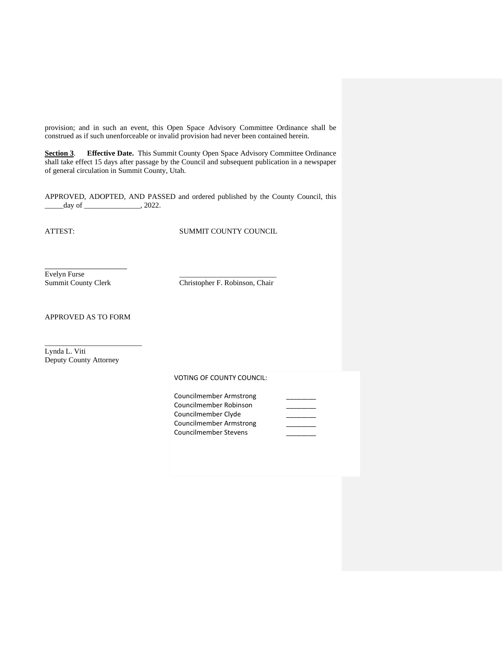provision; and in such an event, this Open Space Advisory Committee Ordinance shall be construed as if such unenforceable or invalid provision had never been contained herein.

**Section 3**. **Effective Date.** This Summit County Open Space Advisory Committee Ordinance shall take effect 15 days after passage by the Council and subsequent publication in a newspaper of general circulation in Summit County, Utah.

APPROVED, ADOPTED, AND PASSED and ordered published by the County Council, this day of \_\_\_\_\_\_\_\_\_\_\_\_\_\_\_, 2022.

 $\overline{a}$ 

ATTEST: SUMMIT COUNTY COUNCIL

Evelyn Furse<br>Summit County Clerk

Christopher F. Robinson, Chair

APPROVED AS TO FORM

\_\_\_\_\_\_\_\_\_\_\_\_\_\_\_\_\_\_\_\_\_\_\_\_\_\_

Lynda L. Viti Deputy County Attorney

# VOTING OF COUNTY COUNCIL:

| Councilmember Armstrong |  |
|-------------------------|--|
| Councilmember Robinson  |  |
| Councilmember Clyde     |  |
| Councilmember Armstrong |  |
| Councilmember Stevens   |  |
|                         |  |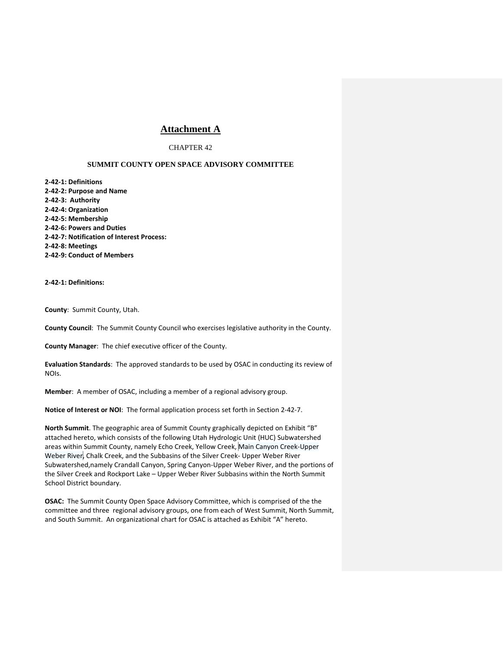# **Attachment A**

## CHAPTER 42

## **SUMMIT COUNTY OPEN SPACE ADVISORY COMMITTEE**

**2-42-1: Definitions 2-42-2: Purpose and Name 2-42-3: Authority 2-42-4: Organization 2-42-5: Membership 2-42-6: Powers and Duties 2-42-7: Notification of Interest Process: 2-42-8: Meetings 2-42-9: Conduct of Members**

**2-42-1: Definitions:**

**County**: Summit County, Utah.

**County Council**: The Summit County Council who exercises legislative authority in the County.

**County Manager**: The chief executive officer of the County.

**Evaluation Standards**: The approved standards to be used by OSAC in conducting its review of NOIs.

**Member**: A member of OSAC, including a member of a regional advisory group.

**Notice of Interest or NOI**: The formal application process set forth in Section 2-42-7.

**North Summit**. The geographic area of Summit County graphically depicted on Exhibit "B" attached hereto, which consists of the following Utah Hydrologic Unit (HUC) Subwatershed areas within Summit County, namely Echo Creek, Yellow Creek, Main Canyon Creek-Upper Weber River, Chalk Creek, and the Subbasins of the Silver Creek- Upper Weber River Subwatershed,namely Crandall Canyon, Spring Canyon-Upper Weber River, and the portions of the Silver Creek and Rockport Lake – Upper Weber River Subbasins within the North Summit School District boundary.

**OSAC:** The Summit County Open Space Advisory Committee, which is comprised of the the committee and three regional advisory groups, one from each of West Summit, North Summit, and South Summit. An organizational chart for OSAC is attached as Exhibit "A" hereto.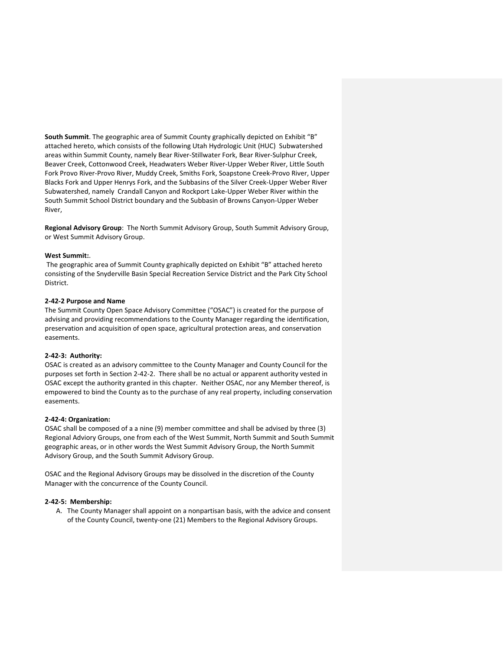**South Summit**. The geographic area of Summit County graphically depicted on Exhibit "B" attached hereto, which consists of the following Utah Hydrologic Unit (HUC) Subwatershed areas within Summit County, namely Bear River-Stillwater Fork, Bear River-Sulphur Creek, Beaver Creek, Cottonwood Creek, Headwaters Weber River-Upper Weber River, Little South Fork Provo River-Provo River, Muddy Creek, Smiths Fork, Soapstone Creek-Provo River, Upper Blacks Fork and Upper Henrys Fork, and the Subbasins of the Silver Creek-Upper Weber River Subwatershed, namely Crandall Canyon and Rockport Lake-Upper Weber River within the South Summit School District boundary and the Subbasin of Browns Canyon-Upper Weber River,

**Regional Advisory Group**: The North Summit Advisory Group, South Summit Advisory Group, or West Summit Advisory Group.

#### **West Summit:**.

The geographic area of Summit County graphically depicted on Exhibit "B" attached hereto consisting of the Snyderville Basin Special Recreation Service District and the Park City School District.

#### **2-42-2 Purpose and Name**

The Summit County Open Space Advisory Committee ("OSAC") is created for the purpose of advising and providing recommendations to the County Manager regarding the identification, preservation and acquisition of open space, agricultural protection areas, and conservation easements.

### **2-42-3: Authority:**

OSAC is created as an advisory committee to the County Manager and County Council for the purposes set forth in Section 2-42-2. There shall be no actual or apparent authority vested in OSAC except the authority granted in this chapter. Neither OSAC, nor any Member thereof, is empowered to bind the County as to the purchase of any real property, including conservation easements.

#### **2-42-4: Organization:**

OSAC shall be composed of a a nine (9) member committee and shall be advised by three (3) Regional Adviory Groups, one from each of the West Summit, North Summit and South Summit geographic areas, or in other words the West Summit Advisory Group, the North Summit Advisory Group, and the South Summit Advisory Group.

OSAC and the Regional Advisory Groups may be dissolved in the discretion of the County Manager with the concurrence of the County Council.

#### **2-42-5: Membership:**

A. The County Manager shall appoint on a nonpartisan basis, with the advice and consent of the County Council, twenty-one (21) Members to the Regional Advisory Groups.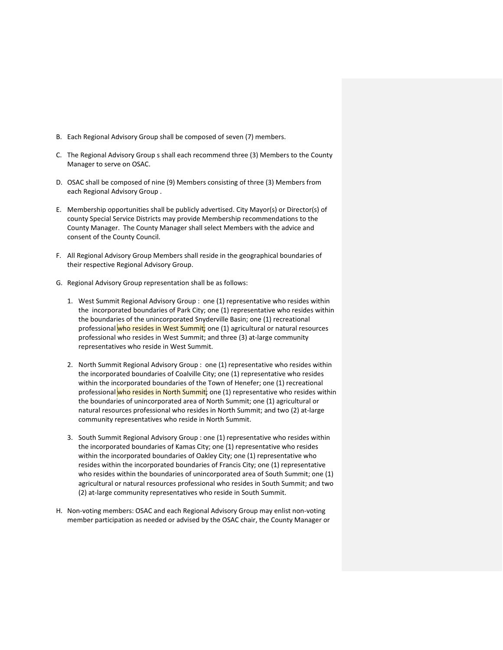- B. Each Regional Advisory Group shall be composed of seven (7) members.
- C. The Regional Advisory Group s shall each recommend three (3) Members to the County Manager to serve on OSAC.
- D. OSAC shall be composed of nine (9) Members consisting of three (3) Members from each Regional Advisory Group .
- E. Membership opportunities shall be publicly advertised. City Mayor(s) or Director(s) of county Special Service Districts may provide Membership recommendations to the County Manager. The County Manager shall select Members with the advice and consent of the County Council.
- F. All Regional Advisory Group Members shall reside in the geographical boundaries of their respective Regional Advisory Group.
- G. Regional Advisory Group representation shall be as follows:
	- 1. West Summit Regional Advisory Group : one (1) representative who resides within the incorporated boundaries of Park City; one (1) representative who resides within the boundaries of the unincorporated Snyderville Basin; one (1) recreational professional <mark>who resides in West Summit</mark>; one (1) agricultural or natural resources professional who resides in West Summit; and three (3) at-large community representatives who reside in West Summit.
	- 2. North Summit Regional Advisory Group : one (1) representative who resides within the incorporated boundaries of Coalville City; one (1) representative who resides within the incorporated boundaries of the Town of Henefer; one (1) recreational professional who resides in North Summit; one (1) representative who resides within the boundaries of unincorporated area of North Summit; one (1) agricultural or natural resources professional who resides in North Summit; and two (2) at-large community representatives who reside in North Summit.
	- 3. South Summit Regional Advisory Group : one (1) representative who resides within the incorporated boundaries of Kamas City; one (1) representative who resides within the incorporated boundaries of Oakley City; one (1) representative who resides within the incorporated boundaries of Francis City; one (1) representative who resides within the boundaries of unincorporated area of South Summit; one (1) agricultural or natural resources professional who resides in South Summit; and two (2) at-large community representatives who reside in South Summit.
- H. Non-voting members: OSAC and each Regional Advisory Group may enlist non-voting member participation as needed or advised by the OSAC chair, the County Manager or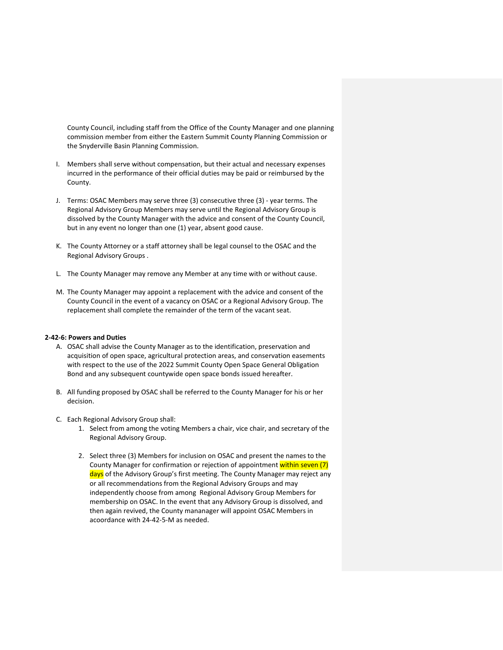County Council, including staff from the Office of the County Manager and one planning commission member from either the Eastern Summit County Planning Commission or the Snyderville Basin Planning Commission.

- I. Members shall serve without compensation, but their actual and necessary expenses incurred in the performance of their official duties may be paid or reimbursed by the County.
- J. Terms: OSAC Members may serve three (3) consecutive three (3) year terms. The Regional Advisory Group Members may serve until the Regional Advisory Group is dissolved by the County Manager with the advice and consent of the County Council, but in any event no longer than one (1) year, absent good cause.
- K. The County Attorney or a staff attorney shall be legal counsel to the OSAC and the Regional Advisory Groups .
- L. The County Manager may remove any Member at any time with or without cause.
- M. The County Manager may appoint a replacement with the advice and consent of the County Council in the event of a vacancy on OSAC or a Regional Advisory Group. The replacement shall complete the remainder of the term of the vacant seat.

#### **2-42-6: Powers and Duties**

- A. OSAC shall advise the County Manager as to the identification, preservation and acquisition of open space, agricultural protection areas, and conservation easements with respect to the use of the 2022 Summit County Open Space General Obligation Bond and any subsequent countywide open space bonds issued hereafter.
- B. All funding proposed by OSAC shall be referred to the County Manager for his or her decision.
- C. Each Regional Advisory Group shall:
	- 1. Select from among the voting Members a chair, vice chair, and secretary of the Regional Advisory Group.
	- 2. Select three (3) Members for inclusion on OSAC and present the names to the County Manager for confirmation or rejection of appointment within seven (7) days of the Advisory Group's first meeting. The County Manager may reject any or all recommendations from the Regional Advisory Groups and may independently choose from among Regional Advisory Group Members for membership on OSAC. In the event that any Advisory Group is dissolved, and then again revived, the County mananager will appoint OSAC Members in acoordance with 24-42-5-M as needed.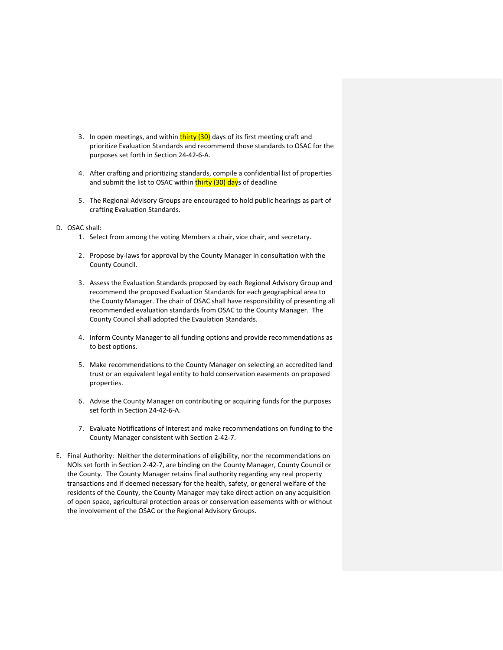- 3. In open meetings, and within **thirty (30)** days of its first meeting craft and prioritize Evaluation Standards and recommend those standards to OSAC for the purposes set forth in Section 24-42-6-A.
- 4. After crafting and prioritizing standards, compile a confidential list of properties and submit the list to OSAC within thirty (30) days of deadline
- 5. The Regional Advisory Groups are encouraged to hold public hearings as part of crafting Evaluation Standards.
- D. OSAC shall:
	- 1. Select from among the voting Members a chair, vice chair, and secretary.
	- 2. Propose by-laws for approval by the County Manager in consultation with the County Council.
	- 3. Assess the Evaluation Standards proposed by each Regional Advisory Group and recommend the proposed Evaluation Standards for each geographical area to the County Manager. The chair of OSAC shall have responsibility of presenting all recommended evaluation standards from OSAC to the County Manager. The County Council shall adopted the Evaulation Standards.
	- 4. Inform County Manager to all funding options and provide recommendations as to best options.
	- 5. Make recommendations to the County Manager on selecting an accredited land trust or an equivalent legal entity to hold conservation easements on proposed properties.
	- 6. Advise the County Manager on contributing or acquiring funds for the purposes set forth in Section 24-42-6-A.
	- 7. Evaluate Notifications of Interest and make recommendations on funding to the County Manager consistent with Section 2-42-7.
- E. Final Authority: Neither the determinations of eligibility, nor the recommendations on NOIs set forth in Section 2-42-7, are binding on the County Manager, County Council or the County. The County Manager retains final authority regarding any real property transactions and if deemed necessary for the health, safety, or general welfare of the residents of the County, the County Manager may take direct action on any acquisition of open space, agricultural protection areas or conservation easements with or without the involvement of the OSAC or the Regional Advisory Groups.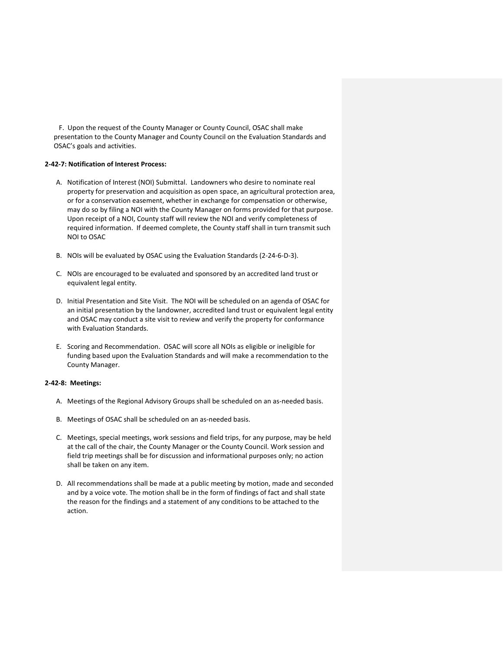F.  Upon the request of the County Manager or County Council, OSAC shall make presentation to the County Manager and County Council on the Evaluation Standards and OSAC's goals and activities.

## **2-42-7: Notification of Interest Process:**

- A. Notification of Interest (NOI) Submittal. Landowners who desire to nominate real property for preservation and acquisition as open space, an agricultural protection area, or for a conservation easement, whether in exchange for compensation or otherwise, may do so by filing a NOI with the County Manager on forms provided for that purpose. Upon receipt of a NOI, County staff will review the NOI and verify completeness of required information. If deemed complete, the County staff shall in turn transmit such NOI to OSAC
- B. NOIs will be evaluated by OSAC using the Evaluation Standards (2-24-6-D-3).
- C. NOIs are encouraged to be evaluated and sponsored by an accredited land trust or equivalent legal entity.
- D. Initial Presentation and Site Visit. The NOI will be scheduled on an agenda of OSAC for an initial presentation by the landowner, accredited land trust or equivalent legal entity and OSAC may conduct a site visit to review and verify the property for conformance with Evaluation Standards.
- E. Scoring and Recommendation. OSAC will score all NOIs as eligible or ineligible for funding based upon the Evaluation Standards and will make a recommendation to the County Manager.

#### **2-42-8: Meetings:**

- A. Meetings of the Regional Advisory Groups shall be scheduled on an as-needed basis.
- B. Meetings of OSAC shall be scheduled on an as-needed basis.
- C. Meetings, special meetings, work sessions and field trips, for any purpose, may be held at the call of the chair, the County Manager or the County Council. Work session and field trip meetings shall be for discussion and informational purposes only; no action shall be taken on any item.
- D. All recommendations shall be made at a public meeting by motion, made and seconded and by a voice vote. The motion shall be in the form of findings of fact and shall state the reason for the findings and a statement of any conditions to be attached to the action.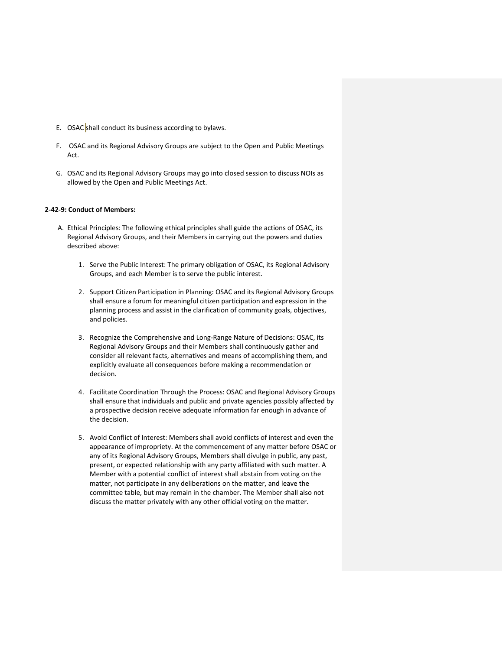- E. OSAC shall conduct its business according to bylaws.
- F. OSAC and its Regional Advisory Groups are subject to the Open and Public Meetings Act.
- G. OSAC and its Regional Advisory Groups may go into closed session to discuss NOIs as allowed by the Open and Public Meetings Act.

#### **2-42-9: Conduct of Members:**

- A. Ethical Principles: The following ethical principles shall guide the actions of OSAC, its Regional Advisory Groups, and their Members in carrying out the powers and duties described above:
	- 1. Serve the Public Interest: The primary obligation of OSAC, its Regional Advisory Groups, and each Member is to serve the public interest.
	- 2. Support Citizen Participation in Planning: OSAC and its Regional Advisory Groups shall ensure a forum for meaningful citizen participation and expression in the planning process and assist in the clarification of community goals, objectives, and policies.
	- 3. Recognize the Comprehensive and Long-Range Nature of Decisions: OSAC, its Regional Advisory Groups and their Members shall continuously gather and consider all relevant facts, alternatives and means of accomplishing them, and explicitly evaluate all consequences before making a recommendation or decision.
	- 4. Facilitate Coordination Through the Process: OSAC and Regional Advisory Groups shall ensure that individuals and public and private agencies possibly affected by a prospective decision receive adequate information far enough in advance of the decision.
	- 5. Avoid Conflict of Interest: Members shall avoid conflicts of interest and even the appearance of impropriety. At the commencement of any matter before OSAC or any of its Regional Advisory Groups, Members shall divulge in public, any past, present, or expected relationship with any party affiliated with such matter. A Member with a potential conflict of interest shall abstain from voting on the matter, not participate in any deliberations on the matter, and leave the committee table, but may remain in the chamber. The Member shall also not discuss the matter privately with any other official voting on the matter.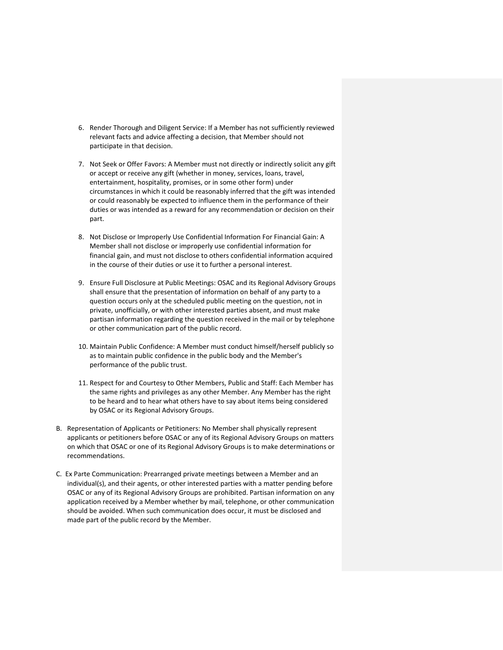- 6. Render Thorough and Diligent Service: If a Member has not sufficiently reviewed relevant facts and advice affecting a decision, that Member should not participate in that decision.
- 7. Not Seek or Offer Favors: A Member must not directly or indirectly solicit any gift or accept or receive any gift (whether in money, services, loans, travel, entertainment, hospitality, promises, or in some other form) under circumstances in which it could be reasonably inferred that the gift was intended or could reasonably be expected to influence them in the performance of their duties or was intended as a reward for any recommendation or decision on their part.
- 8. Not Disclose or Improperly Use Confidential Information For Financial Gain: A Member shall not disclose or improperly use confidential information for financial gain, and must not disclose to others confidential information acquired in the course of their duties or use it to further a personal interest.
- 9. Ensure Full Disclosure at Public Meetings: OSAC and its Regional Advisory Groups shall ensure that the presentation of information on behalf of any party to a question occurs only at the scheduled public meeting on the question, not in private, unofficially, or with other interested parties absent, and must make partisan information regarding the question received in the mail or by telephone or other communication part of the public record.
- 10. Maintain Public Confidence: A Member must conduct himself/herself publicly so as to maintain public confidence in the public body and the Member's performance of the public trust.
- 11. Respect for and Courtesy to Other Members, Public and Staff: Each Member has the same rights and privileges as any other Member. Any Member has the right to be heard and to hear what others have to say about items being considered by OSAC or its Regional Advisory Groups.
- B.   Representation of Applicants or Petitioners: No Member shall physically represent applicants or petitioners before OSAC or any of its Regional Advisory Groups on matters on which that OSAC or one of its Regional Advisory Groups is to make determinations or recommendations.
- C.  Ex Parte Communication: Prearranged private meetings between a Member and an individual(s), and their agents, or other interested parties with a matter pending before OSAC or any of its Regional Advisory Groups are prohibited. Partisan information on any application received by a Member whether by mail, telephone, or other communication should be avoided. When such communication does occur, it must be disclosed and made part of the public record by the Member.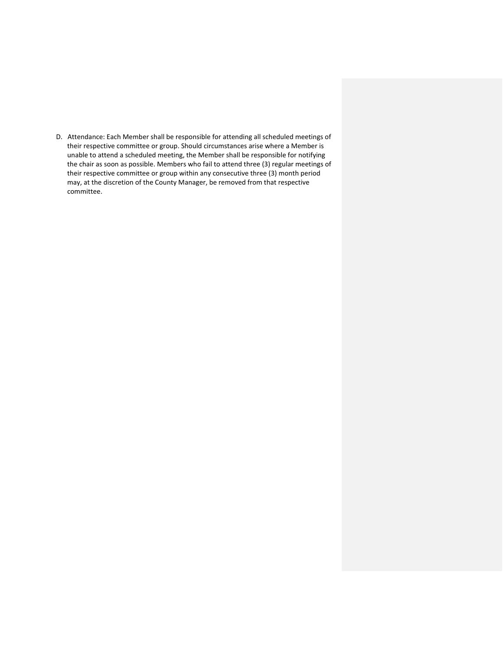D.   Attendance: Each Member shall be responsible for attending all scheduled meetings of their respective committee or group. Should circumstances arise where a Member is unable to attend a scheduled meeting, the Member shall be responsible for notifying the chair as soon as possible. Members who fail to attend three (3) regular meetings of their respective committee or group within any consecutive three (3) month period may, at the discretion of the County Manager, be removed from that respective committee.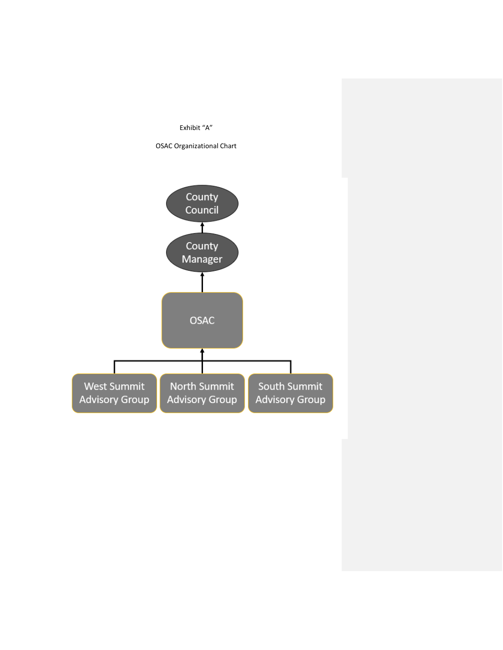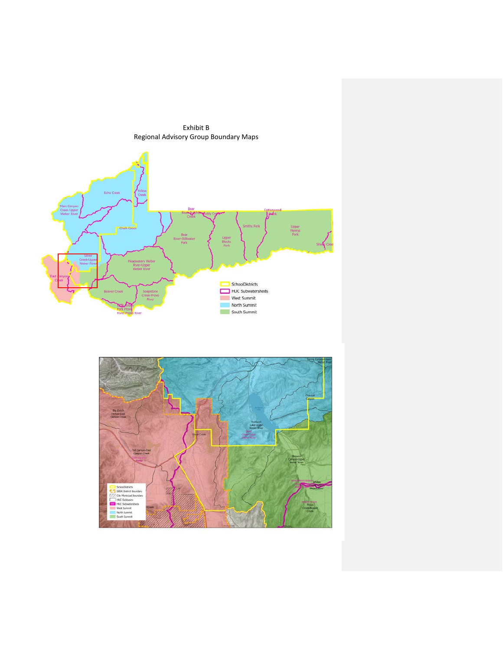Exhibit B Regional Advisory Group Boundary Maps



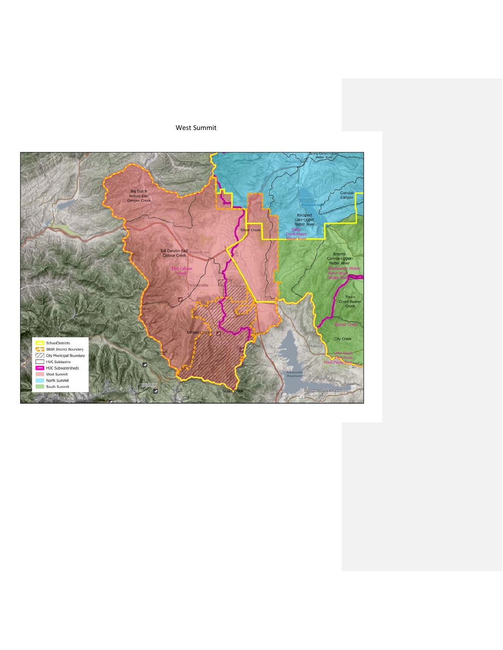West Summit

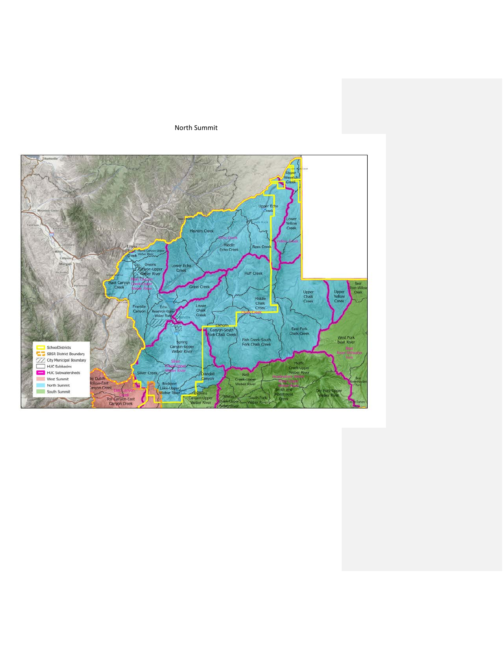## North Summit